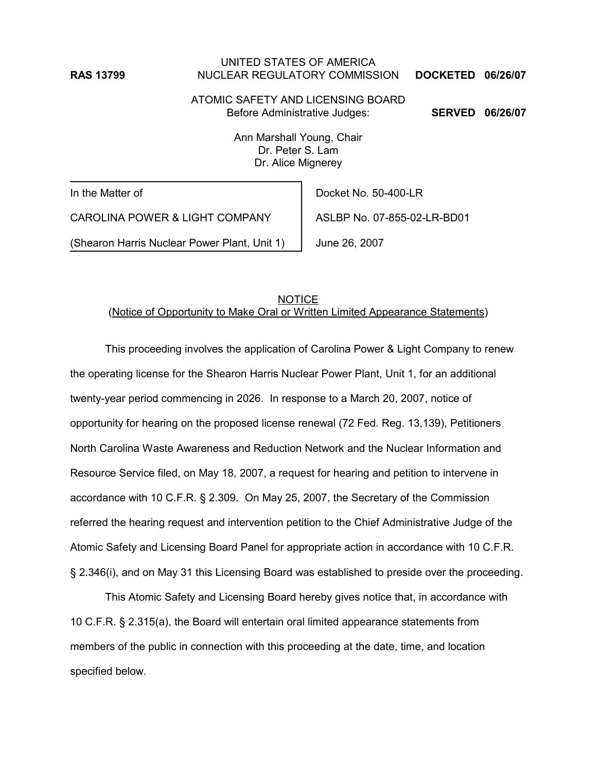## UNITED STATES OF AMERICA **RAS 13799** NUCLEAR REGULATORY COMMISSION **DOCKETED 06/26/07**

ATOMIC SAFETY AND LICENSING BOARD Before Administrative Judges: **SERVED 06/26/07**

Ann Marshall Young, Chair Dr. Peter S. Lam Dr. Alice Mignerey

In the Matter of

CAROLINA POWER & LIGHT COMPANY

(Shearon Harris Nuclear Power Plant, Unit 1)

Docket No. 50-400-LR

ASLBP No. 07-855-02-LR-BD01

June 26, 2007

## **NOTICE** (Notice of Opportunity to Make Oral or Written Limited Appearance Statements)

This proceeding involves the application of Carolina Power & Light Company to renew the operating license for the Shearon Harris Nuclear Power Plant, Unit 1, for an additional twenty-year period commencing in 2026. In response to a March 20, 2007, notice of opportunity for hearing on the proposed license renewal (72 Fed. Reg. 13,139), Petitioners North Carolina Waste Awareness and Reduction Network and the Nuclear Information and Resource Service filed, on May 18, 2007, a request for hearing and petition to intervene in accordance with 10 C.F.R. § 2.309. On May 25, 2007, the Secretary of the Commission referred the hearing request and intervention petition to the Chief Administrative Judge of the Atomic Safety and Licensing Board Panel for appropriate action in accordance with 10 C.F.R. § 2.346(i), and on May 31 this Licensing Board was established to preside over the proceeding.

This Atomic Safety and Licensing Board hereby gives notice that, in accordance with 10 C.F.R. § 2.315(a), the Board will entertain oral limited appearance statements from members of the public in connection with this proceeding at the date, time, and location specified below.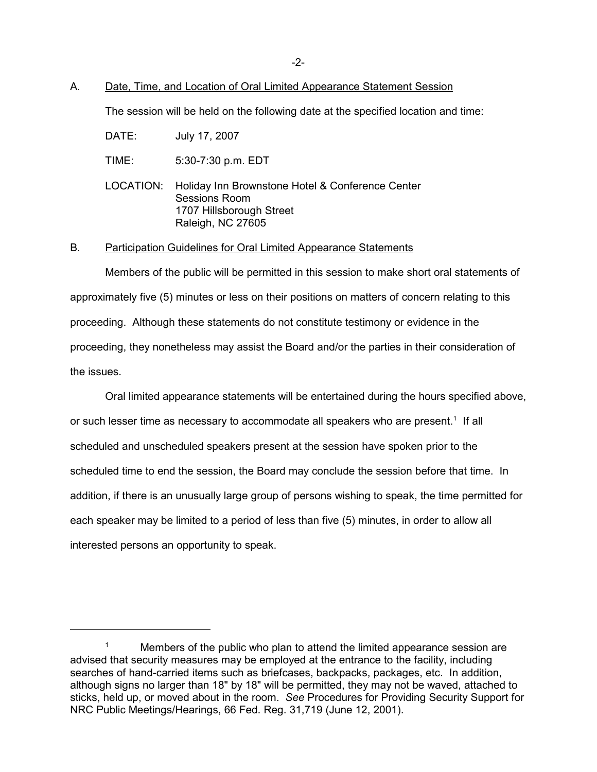#### A. Date, Time, and Location of Oral Limited Appearance Statement Session

The session will be held on the following date at the specified location and time:

DATE: July 17, 2007

- TIME: 5:30-7:30 p.m. EDT
- LOCATION: Holiday Inn Brownstone Hotel & Conference Center Sessions Room 1707 Hillsborough Street Raleigh, NC 27605

#### B. Participation Guidelines for Oral Limited Appearance Statements

Members of the public will be permitted in this session to make short oral statements of approximately five (5) minutes or less on their positions on matters of concern relating to this proceeding. Although these statements do not constitute testimony or evidence in the proceeding, they nonetheless may assist the Board and/or the parties in their consideration of the issues.

Oral limited appearance statements will be entertained during the hours specified above, or such lesser time as necessary to accommodate all speakers who are present.<sup>1</sup> If all scheduled and unscheduled speakers present at the session have spoken prior to the scheduled time to end the session, the Board may conclude the session before that time. In addition, if there is an unusually large group of persons wishing to speak, the time permitted for each speaker may be limited to a period of less than five (5) minutes, in order to allow all interested persons an opportunity to speak.

<sup>&</sup>lt;sup>1</sup> Members of the public who plan to attend the limited appearance session are advised that security measures may be employed at the entrance to the facility, including searches of hand-carried items such as briefcases, backpacks, packages, etc. In addition, although signs no larger than 18" by 18" will be permitted, they may not be waved, attached to sticks, held up, or moved about in the room. *See* Procedures for Providing Security Support for NRC Public Meetings/Hearings, 66 Fed. Reg. 31,719 (June 12, 2001).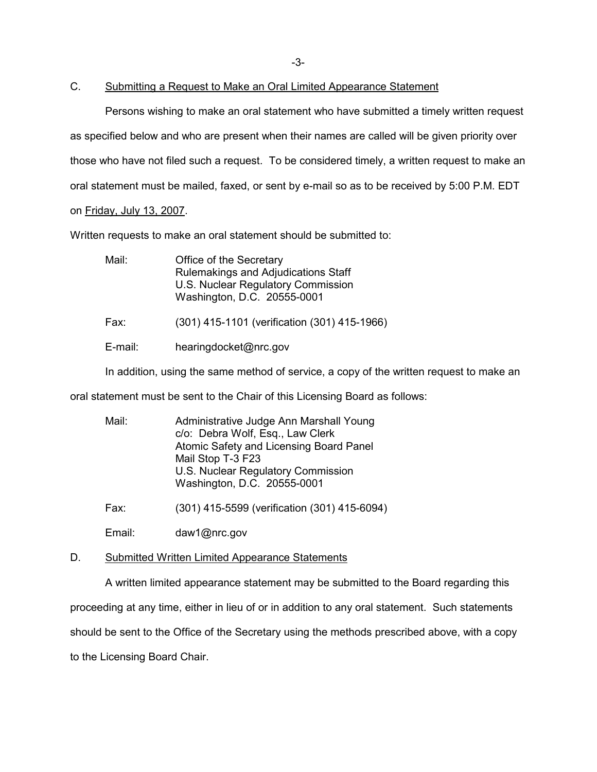-3-

# C. Submitting a Request to Make an Oral Limited Appearance Statement

Persons wishing to make an oral statement who have submitted a timely written request as specified below and who are present when their names are called will be given priority over those who have not filed such a request. To be considered timely, a written request to make an oral statement must be mailed, faxed, or sent by e-mail so as to be received by 5:00 P.M. EDT on Friday, July 13, 2007.

Written requests to make an oral statement should be submitted to:

| Office of the Secretary<br>Rulemakings and Adjudications Staff<br>U.S. Nuclear Regulatory Commission<br>Washington, D.C. 20555-0001 |
|-------------------------------------------------------------------------------------------------------------------------------------|
| (301) 415-1101 (verification (301) 415-1966)                                                                                        |
| hearingdocket@nrc.gov                                                                                                               |
|                                                                                                                                     |

In addition, using the same method of service, a copy of the written request to make an

oral statement must be sent to the Chair of this Licensing Board as follows:

| Mail: | Administrative Judge Ann Marshall Young<br>c/o: Debra Wolf, Esq., Law Clerk<br>Atomic Safety and Licensing Board Panel<br>Mail Stop T-3 F23<br>U.S. Nuclear Regulatory Commission<br>Washington, D.C. 20555-0001 |
|-------|------------------------------------------------------------------------------------------------------------------------------------------------------------------------------------------------------------------|
|       |                                                                                                                                                                                                                  |

Fax: (301) 415-5599 (verification (301) 415-6094)

Email: daw1@nrc.gov

#### D. Submitted Written Limited Appearance Statements

A written limited appearance statement may be submitted to the Board regarding this proceeding at any time, either in lieu of or in addition to any oral statement. Such statements should be sent to the Office of the Secretary using the methods prescribed above, with a copy to the Licensing Board Chair.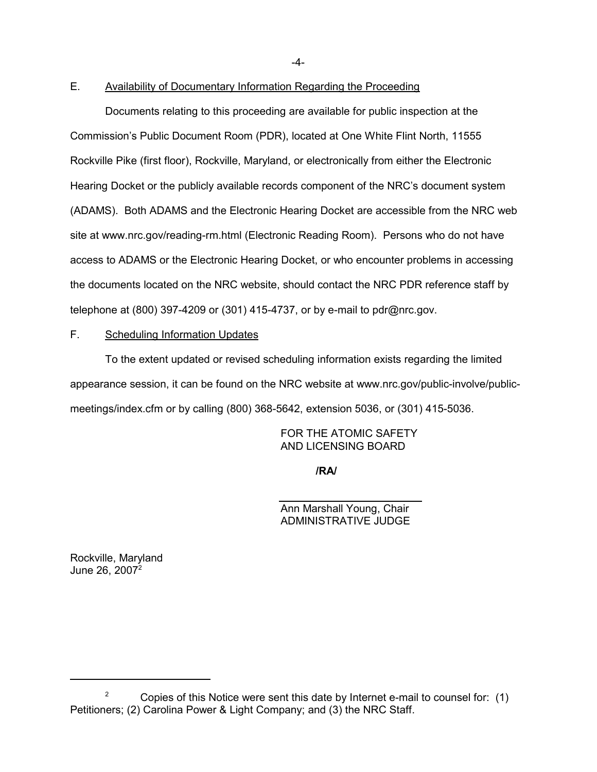-4-

## E. Availability of Documentary Information Regarding the Proceeding

Documents relating to this proceeding are available for public inspection at the Commission's Public Document Room (PDR), located at One White Flint North, 11555 Rockville Pike (first floor), Rockville, Maryland, or electronically from either the Electronic Hearing Docket or the publicly available records component of the NRC's document system (ADAMS). Both ADAMS and the Electronic Hearing Docket are accessible from the NRC web site at www.nrc.gov/reading-rm.html (Electronic Reading Room). Persons who do not have access to ADAMS or the Electronic Hearing Docket, or who encounter problems in accessing the documents located on the NRC website, should contact the NRC PDR reference staff by telephone at (800) 397-4209 or (301) 415-4737, or by e-mail to pdr@nrc.gov.

# F. Scheduling Information Updates

To the extent updated or revised scheduling information exists regarding the limited appearance session, it can be found on the NRC website at www.nrc.gov/public-involve/publicmeetings/index.cfm or by calling (800) 368-5642, extension 5036, or (301) 415-5036.

> FOR THE ATOMIC SAFETY AND LICENSING BOARD

> > **/RA/**

Ann Marshall Young, Chair ADMINISTRATIVE JUDGE

Rockville, Maryland June 26, 2007<sup>2</sup>

<sup>&</sup>lt;sup>2</sup> Copies of this Notice were sent this date by Internet e-mail to counsel for:  $(1)$ Petitioners; (2) Carolina Power & Light Company; and (3) the NRC Staff.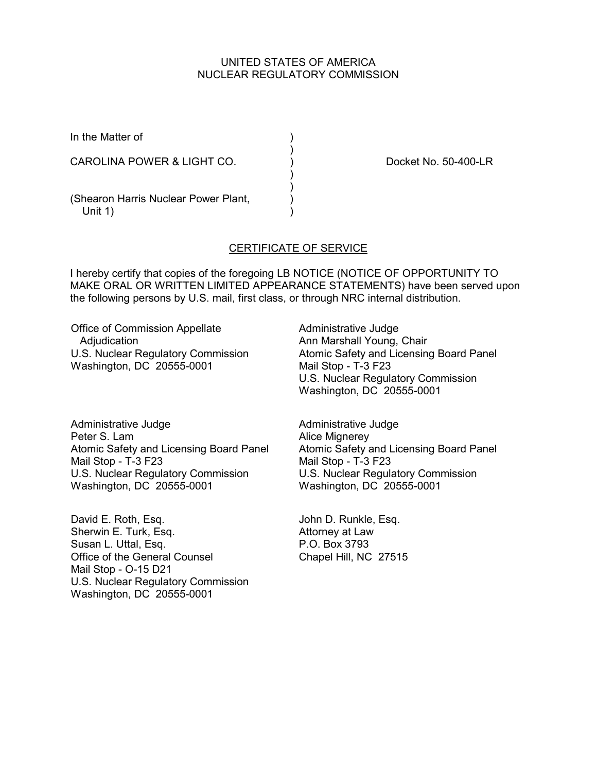### UNITED STATES OF AMERICA NUCLEAR REGULATORY COMMISSION

| In the Matter of                                   |  |
|----------------------------------------------------|--|
| CAROLINA POWER & LIGHT CO.                         |  |
| (Shearon Harris Nuclear Power Plant,<br>Unit $1$ ) |  |

Docket No. 50-400-LR

## CERTIFICATE OF SERVICE

I hereby certify that copies of the foregoing LB NOTICE (NOTICE OF OPPORTUNITY TO MAKE ORAL OR WRITTEN LIMITED APPEARANCE STATEMENTS) have been served upon the following persons by U.S. mail, first class, or through NRC internal distribution.

Office of Commission Appellate Adjudication U.S. Nuclear Regulatory Commission Washington, DC 20555-0001

Administrative Judge Ann Marshall Young, Chair Atomic Safety and Licensing Board Panel Mail Stop - T-3 F23 U.S. Nuclear Regulatory Commission Washington, DC 20555-0001

Administrative Judge Peter S. Lam Atomic Safety and Licensing Board Panel Mail Stop - T-3 F23 U.S. Nuclear Regulatory Commission Washington, DC 20555-0001

David E. Roth, Esq. Sherwin E. Turk, Esq. Susan L. Uttal, Esq. Office of the General Counsel Mail Stop - O-15 D21 U.S. Nuclear Regulatory Commission Washington, DC 20555-0001

Administrative Judge Alice Mignerey Atomic Safety and Licensing Board Panel Mail Stop - T-3 F23 U.S. Nuclear Regulatory Commission Washington, DC 20555-0001

John D. Runkle, Esq. Attorney at Law P.O. Box 3793 Chapel Hill, NC 27515